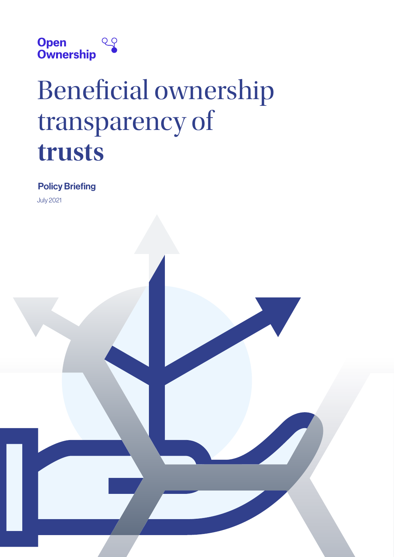

# Beneficial ownership transparency of **trusts**

# Policy Briefing

July 2021

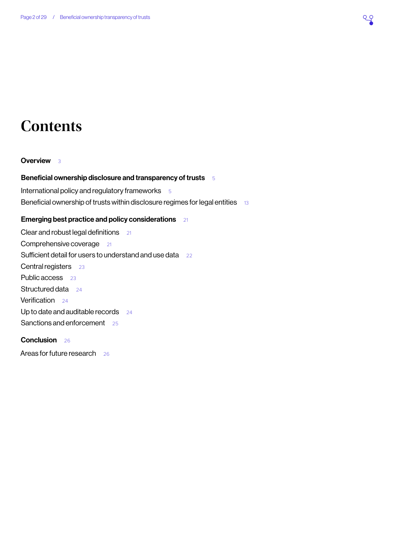# **Contents**

#### **[Overview](#page-2-0)** 3

#### [Beneficial ownership disclosure and transparency of trusts](#page-4-0) 5

[International policy and regulatory frameworks](#page-4-0)  $5$ [Beneficial ownership of trusts within disclosure regimes for legal entities](#page-12-0) 13

#### [Emerging best practice and policy considerations](#page-20-0) 21

[Clear and robust legal definitions](#page-20-0) 21 [Comprehensive coverage](#page-20-0)[Sufficient detail for users to understand and use data](#page-21-0)[Central registers](#page-22-0)[Public access](#page-22-0)[Structured data](#page-23-0)[Verification](#page-23-0)[Up to date and auditable records](#page-23-0)[Sanctions and enforcement](#page-24-0)

# [Conclusion](#page-25-0) 26

[Areas for future research](#page-25-0) 26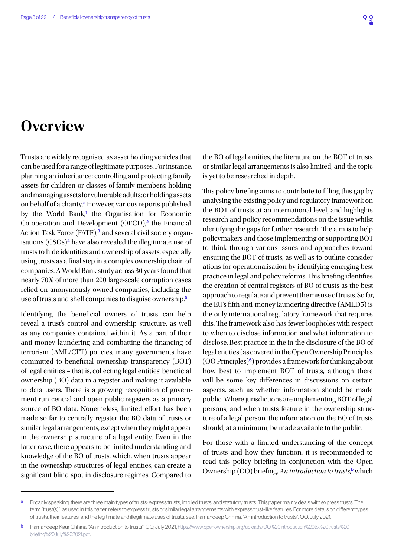# <span id="page-2-0"></span>**Overview**

Trusts are widely recognised as asset holding vehicles that can be used for a range of legitimate purposes. For instance, planning an inheritance; controlling and protecting family assets for children or classes of family members; holding and managing assets for vulnerable adults; or holding assets on behalf of a charity.<sup>a</sup> However, various reports published by the World Bank,<sup>[1](#page-26-0)</sup> the Organisation for Economic Co-operation and Development (OECD),<sup>[2](#page-26-0)</sup> the Financial Action Task Force (FATF),<sup>[3](#page-26-0)</sup> and several civil society organisations  $(CSOs)^4$  $(CSOs)^4$  have also revealed the illegitimate use of trusts to hide identities and ownership of assets, especially using trusts as a final step in a complex ownership chain of companies. A World Bank study across 30 years found that nearly 70% of more than 200 large-scale corruption cases relied on anonymously owned companies, including the use of trusts and shell companies to disguise ownership.[5](#page-26-0)

Identifying the beneficial owners of trusts can help reveal a trust's control and ownership structure, as well as any companies contained within it. As a part of their anti-money laundering and combatting the financing of terrorism (AML/CFT) policies, many governments have committed to beneficial ownership transparency (BOT) of legal entities – that is, collecting legal entities' beneficial ownership (BO) data in a register and making it available to data users. There is a growing recognition of government-run central and open public registers as a primary source of BO data. Nonetheless, limited effort has been made so far to centrally register the BO data of trusts or similar legal arrangements, except when they might appear in the ownership structure of a legal entity. Even in the latter case, there appears to be limited understanding and knowledge of the BO of trusts, which, when trusts appear in the ownership structures of legal entities, can create a significant blind spot in disclosure regimes. Compared to

the BO of legal entities, the literature on the BOT of trusts or similar legal arrangements is also limited, and the topic is yet to be researched in depth.

This policy briefing aims to contribute to filling this gap by analysing the existing policy and regulatory framework on the BOT of trusts at an international level, and highlights research and policy recommendations on the issue whilst identifying the gaps for further research. The aim is to help policymakers and those implementing or supporting BOT to think through various issues and approaches toward ensuring the BOT of trusts, as well as to outline considerations for operationalisation by identifying emerging best practice in legal and policy reforms. This briefing identifies the creation of central registers of BO of trusts as the best approach to regulate and prevent the misuse of trusts. So far, the EU's fifth anti-money laundering directive (AMLD5) is the only international regulatory framework that requires this. The framework also has fewer loopholes with respect to when to disclose information and what information to disclose. Best practice in the in the disclosure of the BO of legal entities (as covered in the Open Ownership Principles  $(00 \text{ Principles})^6$  $(00 \text{ Principles})^6$ ) provides a framework for thinking about how best to implement BOT of trusts, although there will be some key differences in discussions on certain aspects, such as whether information should be made public. Where jurisdictions are implementing BOT of legal persons, and when trusts feature in the ownership structure of a legal person, the information on the BO of trusts should, at a minimum, be made available to the public.

For those with a limited understanding of the concept of trusts and how they function, it is recommended to read this policy briefing in conjunction with the Open Ownership (OO) briefing, *An introduction to trusts*,<sup>b</sup> which

a Broadly speaking, there are three main types of trusts: express trusts, implied trusts, and statutory trusts. This paper mainly deals with express trusts. The term "trust(s)", as used in this paper, refers to express trusts or similar legal arrangements with express trust-like features. For more details on different types of trusts, their features, and the legitimate and illegitimate uses of trusts, see: Ramandeep Chhina, "An introduction to trusts", OO, July 2021.

**b** Ramandeep Kaur Chhina, "An introduction to trusts", OO, July 2021, [https://www.openownership.org/uploads/OO%20Introduction%20to%20trusts%20](https://www.openownership.org/uploads/OO%20Introduction%20to%20trusts%20briefing%20July%202021.pdf) [briefing%20July%202021.pdf.](https://www.openownership.org/uploads/OO%20Introduction%20to%20trusts%20briefing%20July%202021.pdf)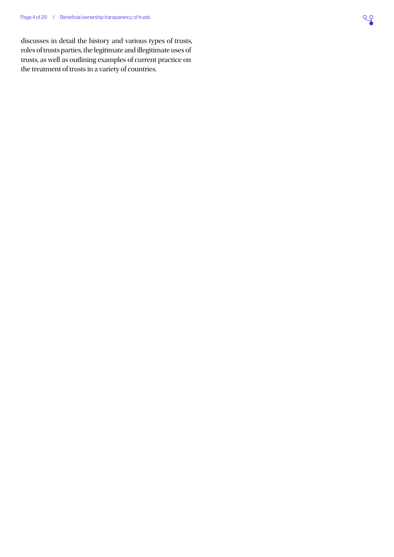discusses in detail the history and various types of trusts, roles of trusts parties, the legitimate and illegitimate uses of trusts, as well as outlining examples of current practice on the treatment of trusts in a variety of countries.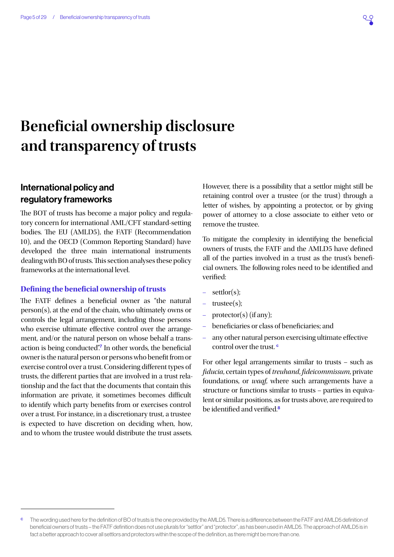# <span id="page-4-0"></span>**Beneficial ownership disclosure and transparency of trusts**

# International policy and regulatory frameworks

The BOT of trusts has become a major policy and regulatory concern for international AML/CFT standard-setting bodies. The EU (AMLD5), the FATF (Recommendation 10), and the OECD (Common Reporting Standard) have developed the three main international instruments dealing with BO of trusts. This section analyses these policy frameworks at the international level.

#### **Defining the beneficial ownership of trusts**

The FATF defines a beneficial owner as "the natural person(s), at the end of the chain, who ultimately owns or controls the legal arrangement, including those persons who exercise ultimate effective control over the arrangement, and/or the natural person on whose behalf a trans-action is being conducted".<sup>[7](#page-26-0)</sup> In other words, the beneficial owner is the natural person or persons who benefit from or exercise control over a trust. Considering different types of trusts, the different parties that are involved in a trust relationship and the fact that the documents that contain this information are private, it sometimes becomes difficult to identify which party benefits from or exercises control over a trust. For instance, in a discretionary trust, a trustee is expected to have discretion on deciding when, how, and to whom the trustee would distribute the trust assets.

However, there is a possibility that a settlor might still be retaining control over a trustee (or the trust) through a letter of wishes, by appointing a protector, or by giving power of attorney to a close associate to either veto or remove the trustee.

To mitigate the complexity in identifying the beneficial owners of trusts, the FATF and the AMLD5 have defined all of the parties involved in a trust as the trust's beneficial owners. The following roles need to be identified and verified:

- settlor(s);
- trustee(s);
- protector(s) (if any);
- beneficiaries or class of beneficiaries; and
- any other natural person exercising ultimate effective control over the trust.<sup>c</sup>

For other legal arrangements similar to trusts – such as *fiducia*, certain types of *treuhand*, *fideicommissum*, private foundations, or *waqf*, where such arrangements have a structure or functions similar to trusts – parties in equivalent or similar positions, as for trusts above, are required to be identified and verified.<sup>[8](#page-26-0)</sup>

The wording used here for the definition of BO of trusts is the one provided by the AMLD5. There is a difference between the FATF and AMLD5 definition of beneficial owners of trusts – the FATF definition does not use plurals for "settlor" and "protector", as has been used in AMLD5. The approach of AMLD5 is in fact a better approach to cover all settlors and protectors within the scope of the definition, as there might be more than one.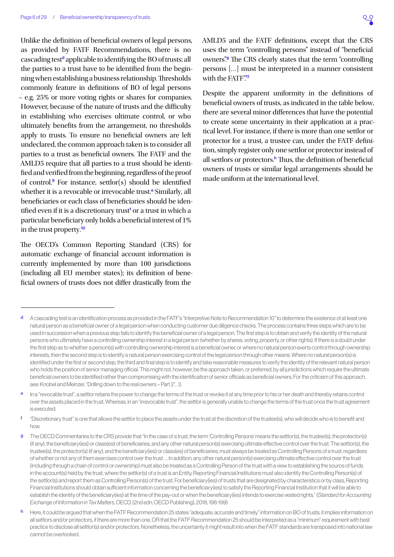<span id="page-5-0"></span>Unlike the definition of beneficial owners of legal persons, as provided by FATF Recommendations, there is no cascading test<sup>d</sup> applicable to identifying the BO of trusts; all the parties to a trust have to be identified from the beginning when establishing a business relationship. Thresholds commonly feature in definitions of BO of legal persons – e.g. 25% or more voting rights or shares for companies. However, because of the nature of trusts and the difficulty in establishing who exercises ultimate control, or who ultimately benefits from the arrangement, no thresholds apply to trusts. To ensure no beneficial owners are left undeclared, the common approach taken is to consider all parties to a trust as beneficial owners. The FATF and the AMLD5 require that all parties to a trust should be identified and verified from the beginning, regardless of the proof of control.[9](#page-26-0) For instance, settlor(s) should be identified whether it is a revocable or irrevocable trust.<sup>e</sup> Similarly, all beneficiaries or each class of beneficiaries should be identified even if it is a discretionary trust<sup>f</sup> or a trust in which a particular beneficiary only holds a beneficial interest of 1% in the trust property.[10](#page-26-0)

The OECD's Common Reporting Standard (CRS) for automatic exchange of financial account information is currently implemented by more than 100 jurisdictions (including all EU member states); its definition of beneficial owners of trusts does not differ drastically from the

Despite the apparent uniformity in the definitions of beneficial owners of trusts, as indicated in the table below, there are several minor differences that have the potential to create some uncertainty in their application at a practical level. For instance, if there is more than one settlor or protector for a trust, a trustee can, under the FATF definition, simply register only one settlor or protector instead of all settlors or protectors.<sup>h</sup> Thus, the definition of beneficial owners of trusts or similar legal arrangements should be made uniform at the international level.

AMLD5 and the FATF definitions, except that the CRS uses the term "controlling persons" instead of "beneficial owners"<sup>9</sup> The CRS clearly states that the term "controlling" persons […] must be interpreted in a manner consistent with the FATF"<sup>[11](#page-26-0)</sup>

d A cascading test is an identification process as provided in the FATF's "Interpretive Note to Recommendation 10" to determine the existence of at least one natural person as a beneficial owner of a legal person when conducting customer due diligence checks. The process contains three steps which are to be used in succession when a previous step fails to identify the beneficial owner of a legal person. The first step is to obtain and verify the identity of the natural persons who ultimately have a controlling ownership interest in a legal person (whether by shares, voting, property, or other rights). If there is a doubt under the first step as to whether a person(s) with controlling ownership interest is a beneficial owner, or where no natural person exerts control through ownership interests, then the second step is to identify a natural person exercising control of the legal person through other means. Where no natural person(s) is identified under the first or second step, the third and final step is to identify and take reasonable measures to verify the identity of the relevant natural person who holds the position of senior managing official. This might not, however, be the approach taken, or preferred, by all jurisdictions which require the ultimate beneficial owners to be identified rather than compromising with the identification of senior officials as beneficial owners. For the criticism of this approach, see: Knobel and Meinzer, "Drilling down to the real owners – Part 2", 3.

In a "revocable trust", a settlor retains the power to change the terms of the trust or revoke it at any time prior to his or her death and thereby retains control over the assets placed in the trust. Whereas, in an "irrevocable trust", the settlor is generally unable to change the terms of the trust once the trust agreement is executed.

f "Discretionary trust" is one that allows the settlor to place the assets under the trust at the discretion of the trustee(s), who will decide who is to benefit and how.

g The OECD Commentaries to the CRS provide that "In the case of a trust, the term 'Controlling Persons' means the settlor(s), the trustee(s), the protector(s) (if any), the beneficiary(ies) or class(es) of beneficiaries, and any other natural person(s) exercising ultimate effective control over the trust. The settlor(s), the trustee(s), the protector(s) (if any), and the beneficiary(ies) or class(es) of beneficiaries, must always be treated as Controlling Persons of a trust, regardless of whether or not any of them exercises control over the trust. … In addition, any other natural person(s) exercising ultimate effective control over the trust (including through a chain of control or ownership) must also be treated as a Controlling Person of the trust with a view to establishing the source of funds in the account(s) held by the trust, where the settlor(s) of a trust is an Entity, Reporting Financial Institutions must also identify the Controlling Person(s) of the settlor(s) and report them as Controlling Person(s) of the trust. For beneficiary(ies) of trusts that are designated by characteristics or by class, Reporting Financial Institutions should obtain sufficient information concerning the beneficiary(ies) to satisfy the Reporting Financial Institution that it will be able to establish the identity of the beneficiary(ies) at the time of the pay-out or when the beneficiary(ies) intends to exercise vested rights." (*Standard for Accounting Exchange of Information in Tax Matters*, OECD, (2nd edn, OECD Publishing), 2018, 198-199)

Here, it could be argued that when the FATF Recommendation 25 states "adequate, accurate and timely" information on BO of trusts, it implies information on all settlors and/or protectors, if there are more than one, OR that the FATF Recommendation 25 should be interpreted as a "minimum" requirement with best practice to disclose all settlor(s) and/or protectors. Nonetheless, the uncertainty it might result into when the FATF standards are transposed into national law cannot be overlooked.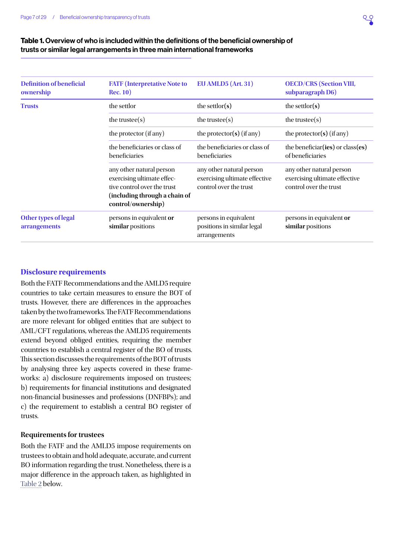

#### Table 1. Overview of who is included within the definitions of the beneficial ownership of trusts or similar legal arrangements in three main international frameworks

| <b>Definition of beneficial</b><br>ownership | <b>FATF</b> (Interpretative Note to<br><b>Rec. 10)</b>                                                                                       | EU AMLD5 (Art. 31)                                                                  | <b>OECD/CRS</b> (Section VIII,<br>subparagraph D6)                                  |
|----------------------------------------------|----------------------------------------------------------------------------------------------------------------------------------------------|-------------------------------------------------------------------------------------|-------------------------------------------------------------------------------------|
| <b>Trusts</b>                                | the settlor                                                                                                                                  | the settlor( $s$ )                                                                  | the settlor( $s$ )                                                                  |
|                                              | the trustee $(s)$                                                                                                                            | the trustee $(s)$                                                                   | the trustee $(s)$                                                                   |
|                                              | the protector (if any)                                                                                                                       | the protector( $s$ ) (if any)                                                       | the protector( $s$ ) (if any)                                                       |
|                                              | the beneficiaries or class of<br>beneficiaries                                                                                               | the beneficiaries or class of<br>beneficiaries                                      | the beneficiar (ies) or class (es)<br>of beneficiaries                              |
|                                              | any other natural person<br>exercising ultimate effec-<br>tive control over the trust<br>(including through a chain of<br>control/ownership) | any other natural person<br>exercising ultimate effective<br>control over the trust | any other natural person<br>exercising ultimate effective<br>control over the trust |
| Other types of legal<br>arrangements         | persons in equivalent or<br>similar positions                                                                                                | persons in equivalent<br>positions in similar legal<br>arrangements                 | persons in equivalent or<br>similar positions                                       |

#### **Disclosure requirements**

Both the FATF Recommendations and the AMLD5 require countries to take certain measures to ensure the BOT of trusts. However, there are differences in the approaches taken by the two frameworks. The FATF Recommendations are more relevant for obliged entities that are subject to AML/CFT regulations, whereas the AMLD5 requirements extend beyond obliged entities, requiring the member countries to establish a central register of the BO of trusts. This section discusses the requirements of the BOT of trusts by analysing three key aspects covered in these frameworks: a) disclosure requirements imposed on trustees; b) requirements for financial institutions and designated non-financial businesses and professions (DNFBPs); and c) the requirement to establish a central BO register of trusts.

#### **Requirements for trustees**

Both the FATF and the AMLD5 impose requirements on trustees to obtain and hold adequate, accurate, and current BO information regarding the trust. Nonetheless, there is a major difference in the approach taken, as highlighted in [Table 2](#page-7-0) below.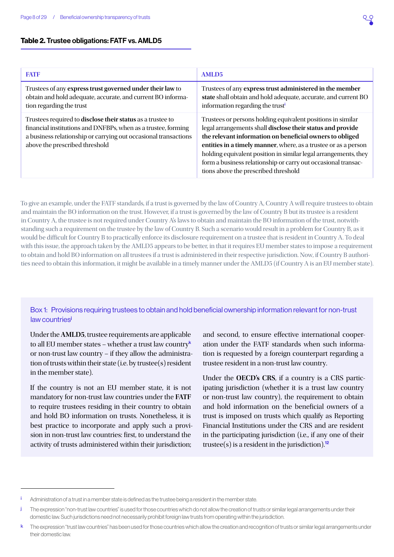#### <span id="page-7-1"></span><span id="page-7-0"></span>Table 2. Trustee obligations: FATF vs. AMLD5

| <b>FATF</b>                                                                                                                                                                                                                      | <b>AMLD5</b>                                                                                                                                                                                                                                                                                                                                                                                                                         |
|----------------------------------------------------------------------------------------------------------------------------------------------------------------------------------------------------------------------------------|--------------------------------------------------------------------------------------------------------------------------------------------------------------------------------------------------------------------------------------------------------------------------------------------------------------------------------------------------------------------------------------------------------------------------------------|
| Trustees of any express trust governed under their law to<br>obtain and hold adequate, accurate, and current BO informa-<br>tion regarding the trust                                                                             | Trustees of any express trust administered in the member<br>state shall obtain and hold adequate, accurate, and current BO<br>information regarding the trust <sup>i</sup>                                                                                                                                                                                                                                                           |
| Trustees required to disclose their status as a trustee to<br>financial institutions and DNFBPs, when as a trustee, forming<br>a business relationship or carrying out occasional transactions<br>above the prescribed threshold | Trustees or persons holding equivalent positions in similar<br>legal arrangements shall disclose their status and provide<br>the relevant information on beneficial owners to obliged<br>entities in a timely manner, where, as a trustee or as a person<br>holding equivalent position in similar legal arrangements, they<br>form a business relationship or carry out occasional transac-<br>tions above the prescribed threshold |

To give an example, under the FATF standards, if a trust is governed by the law of Country A, Country A will require trustees to obtain and maintain the BO information on the trust. However, if a trust is governed by the law of Country B but its trustee is a resident in Country A, the trustee is not required under Country A's laws to obtain and maintain the BO information of the trust, notwithstanding such a requirement on the trustee by the law of Country B. Such a scenario would result in a problem for Country B, as it would be difficult for Country B to practically enforce its disclosure requirement on a trustee that is resident in Country A. To deal with this issue, the approach taken by the AMLD5 appears to be better, in that it requires EU member states to impose a requirement to obtain and hold BO information on all trustees if a trust is administered in their respective jurisdiction. Now, if Country B authorities need to obtain this information, it might be available in a timely manner under the AMLD5 (if Country A is an EU member state).

#### Box 1: Provisions requiring trustees to obtain and hold beneficial ownership information relevant for non-trust law countries<sup>j</sup>

Under the **AMLD5**, trustee requirements are applicable to all EU member states – whether a trust law country<sup>k</sup> or non-trust law country – if they allow the administration of trusts within their state (i.e. by trustee(s) resident in the member state).

If the country is not an EU member state, it is not mandatory for non-trust law countries under the **FATF**  to require trustees residing in their country to obtain and hold BO information on trusts. Nonetheless, it is best practice to incorporate and apply such a provision in non-trust law countries: first, to understand the activity of trusts administered within their jurisdiction;

and second, to ensure effective international cooperation under the FATF standards when such information is requested by a foreign counterpart regarding a trustee resident in a non-trust law country.

Under the **OECD's CRS**, if a country is a CRS participating jurisdiction (whether it is a trust law country or non-trust law country), the requirement to obtain and hold information on the beneficial owners of a trust is imposed on trusts which qualify as Reporting Financial Institutions under the CRS and are resident in the participating jurisdiction (i.e., if any one of their trustee(s) is a resident in the jurisdiction).<sup>[12](#page-26-0)</sup>

Administration of a trust in a member state is defined as the trustee being a resident in the member state.

The expression "non-trust law countries" is used for those countries which do not allow the creation of trusts or similar legal arrangements under their domestic law. Such jurisdictions need not necessarily prohibit foreign law trusts from operating within the jurisdiction.

The expression "trust law countries" has been used for those countries which allow the creation and recognition of trusts or similar legal arrangements under their domestic law.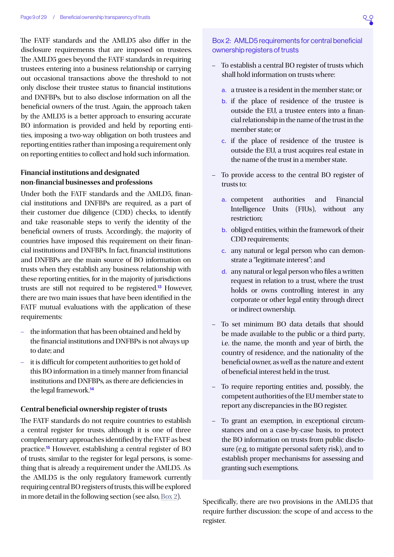<span id="page-8-1"></span>The FATF standards and the AMLD5 also differ in the disclosure requirements that are imposed on trustees. The AMLD5 goes beyond the FATF standards in requiring trustees entering into a business relationship or carrying out occasional transactions above the threshold to not only disclose their trustee status to financial institutions and DNFBPs, but to also disclose information on all the beneficial owners of the trust. Again, the approach taken by the AMLD5 is a better approach to ensuring accurate BO information is provided and held by reporting entities, imposing a two-way obligation on both trustees and reporting entities rather than imposing a requirement only on reporting entities to collect and hold such information.

#### **Financial institutions and designated non-financial businesses and professions**

Under both the FATF standards and the AMLD5, financial institutions and DNFBPs are required, as a part of their customer due diligence (CDD) checks, to identify and take reasonable steps to verify the identity of the beneficial owners of trusts. Accordingly, the majority of countries have imposed this requirement on their financial institutions and DNFBPs. In fact, financial institutions and DNFBPs are the main source of BO information on trusts when they establish any business relationship with these reporting entities, for in the majority of jurisdictions trusts are still not required to be registered.[13](#page-26-0) However, there are two main issues that have been identified in the FATF mutual evaluations with the application of these requirements:

- the information that has been obtained and held by the financial institutions and DNFBPs is not always up to date; and
- it is difficult for competent authorities to get hold of this BO information in a timely manner from financial institutions and DNFBPs, as there are deficiencies in the legal framework.<sup>[14](#page-26-0)</sup>

#### **Central beneficial ownership register of trusts**

The FATF standards do not require countries to establish a central register for trusts, although it is one of three complementary approaches identified by the FATF as best practice.[15](#page-26-0) However, establishing a central register of BO of trusts, similar to the register for legal persons, is something that is already a requirement under the AMLD5. As the AMLD5 is the only regulatory framework currently requiring central BO registers of trusts, this will be explored in more detail in the following section (see also, [Box 2\)](#page-8-0).

#### <span id="page-8-0"></span>Box 2: AMLD5 requirements for central beneficial ownership registers of trusts

- To establish a central BO register of trusts which shall hold information on trusts where:
	- a. a trustee is a resident in the member state; or
	- b. if the place of residence of the trustee is outside the EU, a trustee enters into a financial relationship in the name of the trust in the member state; or
	- c. if the place of residence of the trustee is outside the EU, a trust acquires real estate in the name of the trust in a member state.
- To provide access to the central BO register of trusts to:
	- a. competent authorities and Financial Intelligence Units (FIUs), without any restriction;
	- b. obliged entities, within the framework of their CDD requirements;
	- c. any natural or legal person who can demonstrate a "legitimate interest"; and
	- d. any natural or legal person who files a written request in relation to a trust, where the trust holds or owns controlling interest in any corporate or other legal entity through direct or indirect ownership.
- To set minimum BO data details that should be made available to the public or a third party, i.e. the name, the month and year of birth, the country of residence, and the nationality of the beneficial owner, as well as the nature and extent of beneficial interest held in the trust.
- To require reporting entities and, possibly, the competent authorities of the EU member state to report any discrepancies in the BO register.
- To grant an exemption, in exceptional circumstances and on a case-by-case basis, to protect the BO information on trusts from public disclosure (e.g. to mitigate personal safety risk), and to establish proper mechanisms for assessing and granting such exemptions.

Specifically, there are two provisions in the AMLD5 that require further discussion: the scope of and access to the register.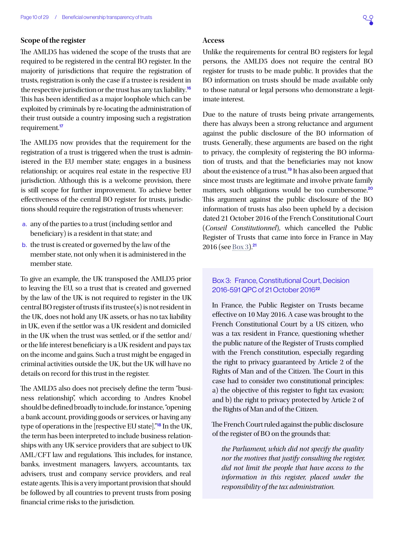#### <span id="page-9-1"></span>**Scope of the register**

The AMLD5 has widened the scope of the trusts that are required to be registered in the central BO register. In the majority of jurisdictions that require the registration of trusts, registration is only the case if a trustee is resident in the respective jurisdiction or the trust has any tax liability.<sup>[16](#page-26-0)</sup> This has been identified as a major loophole which can be exploited by criminals by re-locating the administration of their trust outside a country imposing such a registration requirement.[17](#page-26-0)

The AMLD5 now provides that the requirement for the registration of a trust is triggered when the trust is administered in the EU member state; engages in a business relationship; or acquires real estate in the respective EU jurisdiction. Although this is a welcome provision, there is still scope for further improvement. To achieve better effectiveness of the central BO register for trusts, jurisdictions should require the registration of trusts whenever:

- a. any of the parties to a trust (including settlor and beneficiary) is a resident in that state; and
- b. the trust is created or governed by the law of the member state, not only when it is administered in the member state.

To give an example, the UK transposed the AMLD5 prior to leaving the EU, so a trust that is created and governed by the law of the UK is not required to register in the UK central BO register of trusts if its trustee(s) is not resident in the UK, does not hold any UK assets, or has no tax liability in UK, even if the settlor was a UK resident and domiciled in the UK when the trust was settled, or if the settlor and/ or the life interest beneficiary is a UK resident and pays tax on the income and gains. Such a trust might be engaged in criminal activities outside the UK, but the UK will have no details on record for this trust in the register.

The AMLD5 also does not precisely define the term "business relationship", which according to Andres Knobel should be defined broadly to include, for instance, "opening a bank account, providing goods or services, or having any type of operations in the [respective EU state]."[18](#page-26-0) In the UK, the term has been interpreted to include business relationships with any UK service providers that are subject to UK AML/CFT law and regulations. This includes, for instance, banks, investment managers, lawyers, accountants, tax advisers, trust and company service providers, and real estate agents. This is a very important provision that should be followed by all countries to prevent trusts from posing financial crime risks to the jurisdiction.

#### **Access**

Unlike the requirements for central BO registers for legal persons, the AMLD5 does not require the central BO register for trusts to be made public. It provides that the BO information on trusts should be made available only to those natural or legal persons who demonstrate a legitimate interest.

Due to the nature of trusts being private arrangements, there has always been a strong reluctance and argument against the public disclosure of the BO information of trusts. Generally, these arguments are based on the right to privacy, the complexity of registering the BO information of trusts, and that the beneficiaries may not know about the existence of a trust.[19](#page-26-0) It has also been argued that since most trusts are legitimate and involve private family matters, such obligations would be too cumbersome.<sup>[20](#page-26-0)</sup> This argument against the public disclosure of the BO information of trusts has also been upheld by a decision dated 21 October 2016 of the French Constitutional Court (*Conseil Constitutionnel*), which cancelled the Public Register of Trusts that came into force in France in May 2016 (see [Box 3\)](#page-9-0).<sup>[21](#page-26-0)</sup>

#### <span id="page-9-0"></span>Box 3: France, Constitutional Court, Decision 2016-591 QPC of 21 October 2016[22](#page-26-0)

In France, the Public Register on Trusts became effective on 10 May 2016. A case was brought to the French Constitutional Court by a US citizen, who was a tax resident in France, questioning whether the public nature of the Register of Trusts complied with the French constitution, especially regarding the right to privacy guaranteed by Article 2 of the Rights of Man and of the Citizen. The Court in this case had to consider two constitutional principles: a) the objective of this register to fight tax evasion; and b) the right to privacy protected by Article 2 of the Rights of Man and of the Citizen.

The French Court ruled against the public disclosure of the register of BO on the grounds that:

*the Parliament, which did not specify the quality nor the motives that justify consulting the register, did not limit the people that have access to the information in this register, placed under the responsibility of the tax administration.*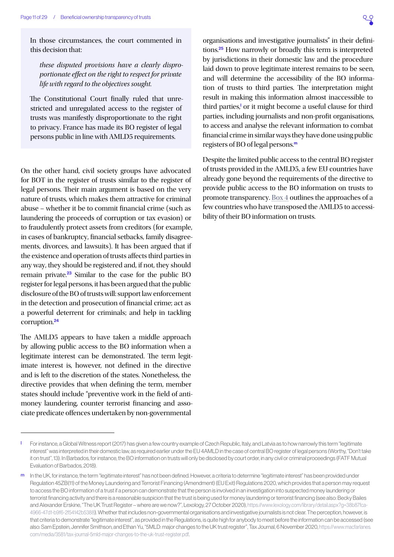<span id="page-10-0"></span>In those circumstances, the court commented in this decision that:

*these disputed provisions have a clearly disproportionate effect on the right to respect for private life with regard to the objectives sought.*

The Constitutional Court finally ruled that unrestricted and unregulated access to the register of trusts was manifestly disproportionate to the right to privacy. France has made its BO register of legal persons public in line with AMLD5 requirements.

On the other hand, civil society groups have advocated for BOT in the register of trusts similar to the register of legal persons. Their main argument is based on the very nature of trusts, which makes them attractive for criminal abuse – whether it be to commit financial crime (such as laundering the proceeds of corruption or tax evasion) or to fraudulently protect assets from creditors (for example, in cases of bankruptcy, financial setbacks, family disagreements, divorces, and lawsuits). It has been argued that if the existence and operation of trusts affects third parties in any way, they should be registered and, if not, they should remain private.[23](#page-26-0) Similar to the case for the public BO register for legal persons, it has been argued that the public disclosure of the BO of trusts will: support law enforcement in the detection and prosecution of financial crime; act as a powerful deterrent for criminals; and help in tackling corruption.[24](#page-26-0)

The AMLD5 appears to have taken a middle approach by allowing public access to the BO information when a legitimate interest can be demonstrated. The term legitimate interest is, however, not defined in the directive and is left to the discretion of the states. Nonetheless, the directive provides that when defining the term, member states should include "preventive work in the field of antimoney laundering, counter terrorist financing and associate predicate offences undertaken by non-governmental

organisations and investigative journalists" in their definitions.[25](#page-26-0) How narrowly or broadly this term is interpreted by jurisdictions in their domestic law and the procedure laid down to prove legitimate interest remains to be seen, and will determine the accessibility of the BO information of trusts to third parties. The interpretation might result in making this information almost inaccessible to third parties,<sup>1</sup> or it might become a useful clause for third parties, including journalists and non-profit organisations, to access and analyse the relevant information to combat financial crime in similar ways they have done using public registers of BO of legal persons.<sup>m</sup>

Despite the limited public access to the central BO register of trusts provided in the AMLD5, a few EU countries have already gone beyond the requirements of the directive to provide public access to the BO information on trusts to promote transparency. [Box 4](#page-11-0) outlines the approaches of a few countries who have transposed the AMLD5 to accessibility of their BO information on trusts.

For instance, a Global Witness report (2017) has given a few country example of Czech Republic, Italy, and Latvia as to how narrowly this term "legitimate interest" was interpreted in their domestic law, as required earlier under the EU 4AMLD in the case of central BO register of legal persons (Worthy, "Don't take it on trust", 13). In Barbados, for instance, the BO information on trusts will only be disclosed by court order, in any civil or criminal proceedings (FATF Mutual Evaluation of Barbados, 2018).

m In the UK for instance, the term "legitimate interest" has not been defined. However, a criteria to determine "legitimate interest" has been provided under Regulation 45ZB(11) of the Money Laundering and Terrorist Financing (Amendment) (EU Exit) Regulations 2020, which provides that a person may request to access the BO information of a trust if a person can demonstrate that the person is involved in an investigation into suspected money laundering or terrorist financing activity and there is a reasonable suspicion that the trust is being used for money laundering or terrorist financing (see also: Becky Bailes and Alexander Erskine, "The UK Trust Register – where are we now?", Lexology, 27 October 2020), [https://www.lexology.com/library/detail.aspx?g=38b87fca-](https://www.lexology.com/library/detail.aspx?g=38b87fca-4966-47d1-b9f6-2f54142b5388)[4966-47d1-b9f6-2f54142b5388\)](https://www.lexology.com/library/detail.aspx?g=38b87fca-4966-47d1-b9f6-2f54142b5388). Whether that includes non-governmental organisations and investigative journalists is not clear. The perception, however, is that criteria to demonstrate "legitimate interest", as provided in the Regulations, is quite high for anybody to meet before the information can be accessed (see also: Sam Epstein, Jennifer Smithson, and Ethan Yu, "5MLD: major changes to the UK trust register", Tax Journal, 6 November 2020, [https://www.macfarlanes.](https://www.macfarlanes.com/media/3581/tax-journal-5mld-major-changes-to-the-uk-trust-register.pdf) [com/media/3581/tax-journal-5mld-major-changes-to-the-uk-trust-register.pdf.](https://www.macfarlanes.com/media/3581/tax-journal-5mld-major-changes-to-the-uk-trust-register.pdf)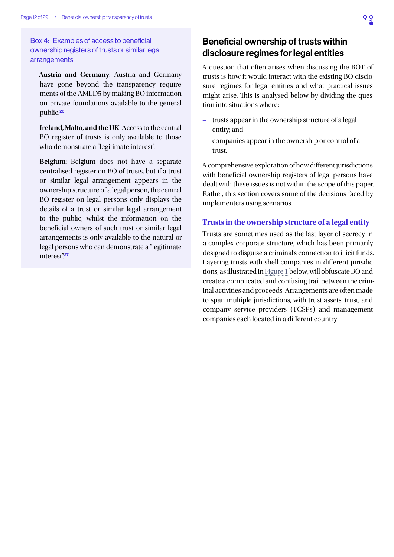<span id="page-11-1"></span><span id="page-11-0"></span>Box 4: Examples of access to beneficial ownership registers of trusts or similar legal arrangements

- **Austria and Germany**: Austria and Germany have gone beyond the transparency requirements of the AMLD5 by making BO information on private foundations available to the general public.[26](#page-26-0)
- **Ireland, Malta, and the UK**: Access to the central BO register of trusts is only available to those who demonstrate a "legitimate interest".
- **Belgium**: Belgium does not have a separate centralised register on BO of trusts, but if a trust or similar legal arrangement appears in the ownership structure of a legal person, the central BO register on legal persons only displays the details of a trust or similar legal arrangement to the public, whilst the information on the beneficial owners of such trust or similar legal arrangements is only available to the natural or legal persons who can demonstrate a "legitimate interest".[27](#page-26-0)

# Beneficial ownership of trusts within disclosure regimes for legal entities

A question that often arises when discussing the BOT of trusts is how it would interact with the existing BO disclosure regimes for legal entities and what practical issues might arise. This is analysed below by dividing the question into situations where:

- trusts appear in the ownership structure of a legal entity; and
- companies appear in the ownership or control of a trust.

A comprehensive exploration of how different jurisdictions with beneficial ownership registers of legal persons have dealt with these issues is not within the scope of this paper. Rather, this section covers some of the decisions faced by implementers using scenarios.

#### **Trusts in the ownership structure of a legal entity**

Trusts are sometimes used as the last layer of secrecy in a complex corporate structure, which has been primarily designed to disguise a criminal's connection to illicit funds. Layering trusts with shell companies in different jurisdictions, as illustrated in [Figure 1](#page-12-1) below, will obfuscate BO and create a complicated and confusing trail between the criminal activities and proceeds. Arrangements are often made to span multiple jurisdictions, with trust assets, trust, and company service providers (TCSPs) and management companies each located in a different country.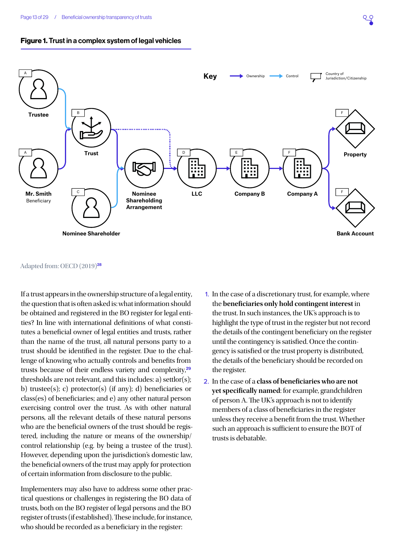<span id="page-12-1"></span><span id="page-12-0"></span>



#### Adapted from: OECD (2019)[28](#page-26-0)

If a trust appears in the ownership structure of a legal entity, the question that is often asked is: what information should be obtained and registered in the BO register for legal entities? In line with international definitions of what constitutes a beneficial owner of legal entities and trusts, rather than the name of the trust, all natural persons party to a trust should be identified in the register. Due to the challenge of knowing who actually controls and benefits from trusts because of their endless variety and complexity,<sup>[29](#page-26-0)</sup> thresholds are not relevant, and this includes: a) settlor(s); b) trustee(s); c) protector(s) (if any); d) beneficiaries or class(es) of beneficiaries; and e) any other natural person exercising control over the trust. As with other natural persons, all the relevant details of these natural persons who are the beneficial owners of the trust should be registered, including the nature or means of the ownership/ control relationship (e.g. by being a trustee of the trust). However, depending upon the jurisdiction's domestic law, the beneficial owners of the trust may apply for protection of certain information from disclosure to the public.

Implementers may also have to address some other practical questions or challenges in registering the BO data of trusts, both on the BO register of legal persons and the BO register of trusts (if established). These include, for instance, who should be recorded as a beneficiary in the register:

- 1. In the case of a discretionary trust, for example, where the **beneficiaries only hold contingent interest** in the trust. In such instances, the UK's approach is to highlight the type of trust in the register but not record the details of the contingent beneficiary on the register until the contingency is satisfied. Once the contingency is satisfied or the trust property is distributed, the details of the beneficiary should be recorded on the register.
- 2. In the case of a **class of beneficiaries who are not yet specifically named**: for example, grandchildren of person A. The UK's approach is not to identify members of a class of beneficiaries in the register unless they receive a benefit from the trust. Whether such an approach is sufficient to ensure the BOT of trusts is debatable.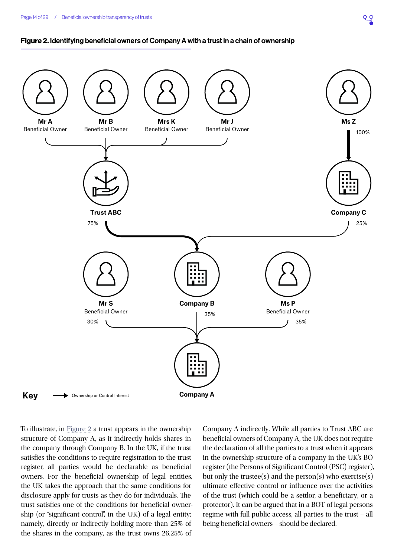#### <span id="page-13-0"></span>Figure 2. Identifying beneficial owners of Company A with a trust in a chain of ownership



To illustrate, in [Figure 2](#page-13-0) a trust appears in the ownership structure of Company A, as it indirectly holds shares in the company through Company B. In the UK, if the trust satisfies the conditions to require registration to the trust register, all parties would be declarable as beneficial owners. For the beneficial ownership of legal entities, the UK takes the approach that the same conditions for disclosure apply for trusts as they do for individuals. The trust satisfies one of the conditions for beneficial ownership (or "significant control", in the UK) of a legal entity; namely, directly or indirectly holding more than 25% of the shares in the company, as the trust owns 26.25% of

Company A indirectly. While all parties to Trust ABC are beneficial owners of Company A, the UK does not require the declaration of all the parties to a trust when it appears in the ownership structure of a company in the UK's BO register (the Persons of Significant Control (PSC) register), but only the trustee(s) and the person(s) who exercise(s) ultimate effective control or influence over the activities of the trust (which could be a settlor, a beneficiary, or a protector). It can be argued that in a BOT of legal persons regime with full public access, all parties to the trust – all being beneficial owners – should be declared.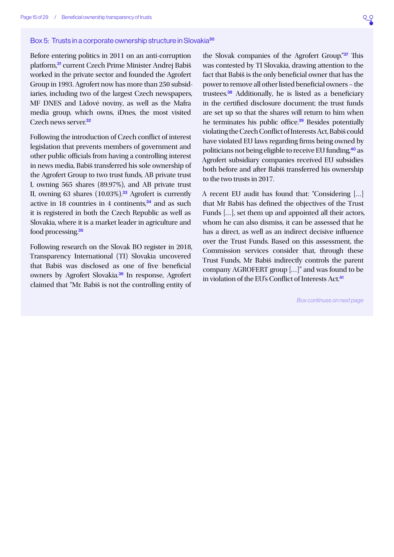#### <span id="page-14-0"></span>Box 5: Trusts in a corporate ownership structure in Slovakia<sup>[30](#page-26-0)</sup>

Before entering politics in 2011 on an anti-corruption platform,[31](#page-26-0) current Czech Prime Minister Andrej Babiš worked in the private sector and founded the Agrofert Group in 1993. Agrofert now has more than 250 subsidiaries, including two of the largest Czech newspapers, MF DNES and Lidové noviny, as well as the Mafra media group, which owns, iDnes, the most visited Czech news server<sup>[32](#page-26-0)</sup>

Following the introduction of Czech conflict of interest legislation that prevents members of government and other public officials from having a controlling interest in news media, Babiš transferred his sole ownership of the Agrofert Group to two trust funds, AB private trust I, owning 565 shares (89.97%), and AB private trust II, owning 63 shares  $(10.03\%)$ <sup>[33](#page-27-0)</sup> Agrofert is currently active in 18 countries in 4 continents,<sup>[34](#page-27-0)</sup> and as such it is registered in both the Czech Republic as well as Slovakia, where it is a market leader in agriculture and food processing.<sup>[35](#page-27-0)</sup>

Following research on the Slovak BO register in 2018, Transparency International (TI) Slovakia uncovered that Babiš was disclosed as one of five beneficial owners by Agrofert Slovakia.[36](#page-27-0) In response, Agrofert claimed that "Mr. Babiš is not the controlling entity of

the Slovak companies of the Agrofert Group."[37](#page-27-0) This was contested by TI Slovakia, drawing attention to the fact that Babiš is the only beneficial owner that has the power to remove all other listed beneficial owners – the trustees.[38](#page-27-0) Additionally, he is listed as a beneficiary in the certified disclosure document; the trust funds are set up so that the shares will return to him when he terminates his public office.<sup>[39](#page-27-0)</sup> Besides potentially violating the Czech Conflict of Interests Act, Babiš could have violated EU laws regarding firms being owned by politicians not being eligible to receive EU funding,[40](#page-27-0) as Agrofert subsidiary companies received EU subsidies both before and after Babiš transferred his ownership to the two trusts in 2017.

A recent EU audit has found that: "Considering […] that Mr Babiš has defined the objectives of the Trust Funds […], set them up and appointed all their actors, whom he can also dismiss, it can be assessed that he has a direct, as well as an indirect decisive influence over the Trust Funds. Based on this assessment, the Commission services consider that, through these Trust Funds, Mr Babiš indirectly controls the parent company AGROFERT group […]" and was found to be in violation of the EU's Conflict of Interests Act.<sup>[41](#page-27-0)</sup>

*Box continues on next page*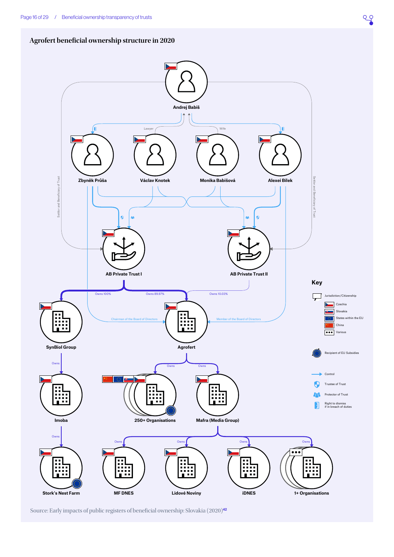<span id="page-15-0"></span>



Source: Early impacts of public registers of beneficial ownership: Slovakia (2020)[42](#page-27-0)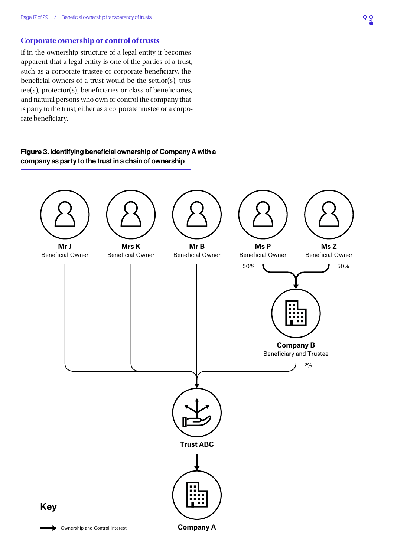#### **Corporate ownership or control of trusts**

If in the ownership structure of a legal entity it becomes apparent that a legal entity is one of the parties of a trust, such as a corporate trustee or corporate beneficiary, the beneficial owners of a trust would be the settlor(s), trustee(s), protector(s), beneficiaries or class of beneficiaries, and natural persons who own or control the company that is party to the trust, either as a corporate trustee or a corporate beneficiary.

#### <span id="page-16-0"></span>Figure 3. Identifying beneficial ownership of Company A with a company as party to the trust in a chain of ownership

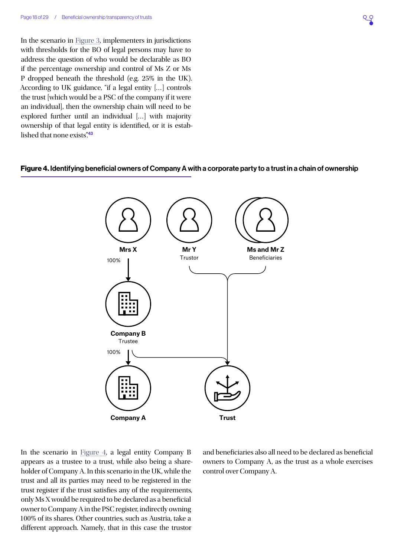<span id="page-17-1"></span>In the scenario in [Figure 3,](#page-16-0) implementers in jurisdictions with thresholds for the BO of legal persons may have to address the question of who would be declarable as BO if the percentage ownership and control of Ms Z or Ms P dropped beneath the threshold (e.g. 25% in the UK). According to UK guidance, "if a legal entity […] controls the trust [which would be a PSC of the company if it were an individual], then the ownership chain will need to be explored further until an individual […] with majority ownership of that legal entity is identified, or it is estab-lished that none exists"<sup>[43](#page-27-0)</sup>

#### Figure 4. Identifying beneficial owners of Company A with a corporate party to a trust in a chain of ownership

<span id="page-17-0"></span>

In the scenario in [Figure 4](#page-17-0), a legal entity Company B appears as a trustee to a trust, while also being a shareholder of Company A. In this scenario in the UK, while the trust and all its parties may need to be registered in the trust register if the trust satisfies any of the requirements, only Ms X would be required to be declared as a beneficial owner to Company A in the PSC register, indirectly owning 100% of its shares. Other countries, such as Austria, take a different approach. Namely, that in this case the trustor

and beneficiaries also all need to be declared as beneficial owners to Company A, as the trust as a whole exercises control over Company A.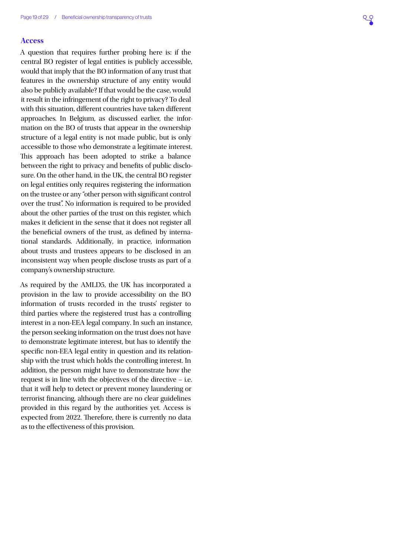#### **Access**

A question that requires further probing here is: if the central BO register of legal entities is publicly accessible, would that imply that the BO information of any trust that features in the ownership structure of any entity would also be publicly available? If that would be the case, would it result in the infringement of the right to privacy? To deal with this situation, different countries have taken different approaches. In Belgium, as discussed earlier, the information on the BO of trusts that appear in the ownership structure of a legal entity is not made public, but is only accessible to those who demonstrate a legitimate interest. This approach has been adopted to strike a balance between the right to privacy and benefits of public disclosure. On the other hand, in the UK, the central BO register on legal entities only requires registering the information on the trustee or any "other person with significant control over the trust". No information is required to be provided about the other parties of the trust on this register, which makes it deficient in the sense that it does not register all the beneficial owners of the trust, as defined by international standards. Additionally, in practice, information about trusts and trustees appears to be disclosed in an inconsistent way when people disclose trusts as part of a company's ownership structure.

As required by the AMLD5, the UK has incorporated a provision in the law to provide accessibility on the BO information of trusts recorded in the trusts' register to third parties where the registered trust has a controlling interest in a non-EEA legal company. In such an instance, the person seeking information on the trust does not have to demonstrate legitimate interest, but has to identify the specific non-EEA legal entity in question and its relationship with the trust which holds the controlling interest. In addition, the person might have to demonstrate how the request is in line with the objectives of the directive – i.e. that it will help to detect or prevent money laundering or terrorist financing, although there are no clear guidelines provided in this regard by the authorities yet. Access is expected from 2022. Therefore, there is currently no data as to the effectiveness of this provision.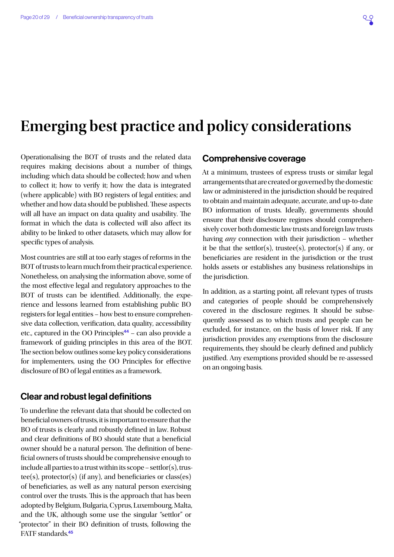# <span id="page-19-0"></span>**Emerging best practice and policy considerations**

Operationalising the BOT of trusts and the related data requires making decisions about a number of things, including: which data should be collected; how and when to collect it; how to verify it; how the data is integrated (where applicable) with BO registers of legal entities; and whether and how data should be published. These aspects will all have an impact on data quality and usability. The format in which the data is collected will also affect its ability to be linked to other datasets, which may allow for specific types of analysis.

Most countries are still at too early stages of reforms in the BOT of trusts to learn much from their practical experience. Nonetheless, on analysing the information above, some of the most effective legal and regulatory approaches to the BOT of trusts can be identified. Additionally, the experience and lessons learned from establishing public BO registers for legal entities – how best to ensure comprehensive data collection, verification, data quality, accessibility etc., captured in the OO Principles<sup>[44](#page-27-0)</sup> – can also provide a framework of guiding principles in this area of the BOT. The section below outlines some key policy considerations for implementers, using the OO Principles for effective disclosure of BO of legal entities as a framework.

#### Clear and robust legal definitions

To underline the relevant data that should be collected on beneficial owners of trusts, it is important to ensure that the BO of trusts is clearly and robustly defined in law. Robust and clear definitions of BO should state that a beneficial owner should be a natural person. The definition of beneficial owners of trusts should be comprehensive enough to include all parties to a trust within its  $scope - settlor(s)$ , trustee(s), protector(s) (if any), and beneficiaries or class(es) of beneficiaries, as well as any natural person exercising control over the trusts. This is the approach that has been adopted by Belgium, Bulgaria, Cyprus, Luxembourg, Malta, and the UK, although some use the singular "settlor" or "protector" in their BO definition of trusts, following the FATF standards.[45](#page-27-0)

## Comprehensive coverage

At a minimum, trustees of express trusts or similar legal arrangements that are created or governed by the domestic law or administered in the jurisdiction should be required to obtain and maintain adequate, accurate, and up-to-date BO information of trusts. Ideally, governments should ensure that their disclosure regimes should comprehensively cover both domestic law trusts and foreign law trusts having *any* connection with their jurisdiction – whether it be that the settlor(s), trustee(s), protector(s) if any, or beneficiaries are resident in the jurisdiction or the trust holds assets or establishes any business relationships in the jurisdiction.

In addition, as a starting point, all relevant types of trusts and categories of people should be comprehensively covered in the disclosure regimes. It should be subsequently assessed as to which trusts and people can be excluded, for instance, on the basis of lower risk. If any jurisdiction provides any exemptions from the disclosure requirements, they should be clearly defined and publicly justified. Any exemptions provided should be re-assessed on an ongoing basis.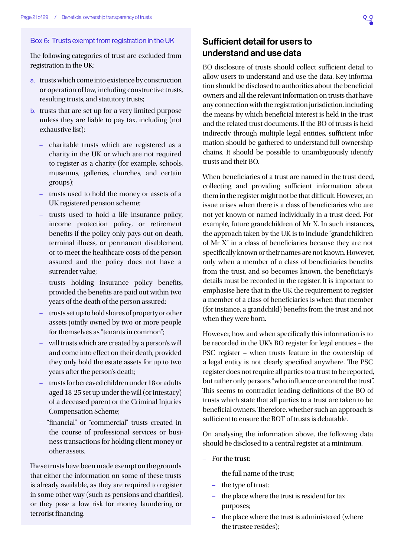#### <span id="page-20-0"></span>Box 6: Trusts exempt from registration in the UK

The following categories of trust are excluded from registration in the UK:

- a. trusts which come into existence by construction or operation of law, including constructive trusts, resulting trusts, and statutory trusts;
- b. trusts that are set up for a very limited purpose unless they are liable to pay tax, including (not exhaustive list):
	- charitable trusts which are registered as a charity in the UK or which are not required to register as a charity (for example, schools, museums, galleries, churches, and certain groups);
	- trusts used to hold the money or assets of a UK registered pension scheme;
	- trusts used to hold a life insurance policy, income protection policy, or retirement benefits if the policy only pays out on death, terminal illness, or permanent disablement, or to meet the healthcare costs of the person assured and the policy does not have a surrender value;
	- trusts holding insurance policy benefits, provided the benefits are paid out within two years of the death of the person assured;
	- trusts set up to hold shares of property or other assets jointly owned by two or more people for themselves as "tenants in common";
	- will trusts which are created by a person's will and come into effect on their death, provided they only hold the estate assets for up to two years after the person's death;
	- trusts for bereaved children under 18 or adults aged 18-25 set up under the will (or intestacy) of a deceased parent or the Criminal Injuries Compensation Scheme;
	- "financial" or "commercial" trusts created in the course of professional services or business transactions for holding client money or other assets.

These trusts have been made exempt on the grounds that either the information on some of these trusts is already available, as they are required to register in some other way (such as pensions and charities), or they pose a low risk for money laundering or terrorist financing.

# Sufficient detail for users to understand and use data

BO disclosure of trusts should collect sufficient detail to allow users to understand and use the data. Key information should be disclosed to authorities about the beneficial owners and all the relevant information on trusts that have any connection with the registration jurisdiction, including the means by which beneficial interest is held in the trust and the related trust documents. If the BO of trusts is held indirectly through multiple legal entities, sufficient information should be gathered to understand full ownership chains. It should be possible to unambiguously identify trusts and their BO.

When beneficiaries of a trust are named in the trust deed, collecting and providing sufficient information about them in the register might not be that difficult. However, an issue arises when there is a class of beneficiaries who are not yet known or named individually in a trust deed. For example, future grandchildren of Mr X. In such instances, the approach taken by the UK is to include "grandchildren of Mr X" in a class of beneficiaries because they are not specifically known or their names are not known. However, only when a member of a class of beneficiaries benefits from the trust, and so becomes known, the beneficiary's details must be recorded in the register. It is important to emphasise here that in the UK the requirement to register a member of a class of beneficiaries is when that member (for instance, a grandchild) benefits from the trust and not when they were born.

However, how and when specifically this information is to be recorded in the UK's BO register for legal entities – the PSC register – when trusts feature in the ownership of a legal entity is not clearly specified anywhere. The PSC register does not require all parties to a trust to be reported, but rather only persons "who influence or control the trust". This seems to contradict leading definitions of the BO of trusts which state that all parties to a trust are taken to be beneficial owners. Therefore, whether such an approach is sufficient to ensure the BOT of trusts is debatable.

On analysing the information above, the following data should be disclosed to a central register at a minimum.

- For the **trust**:
	- the full name of the trust;
	- the type of trust;
	- the place where the trust is resident for tax purposes;
	- the place where the trust is administered (where the trustee resides);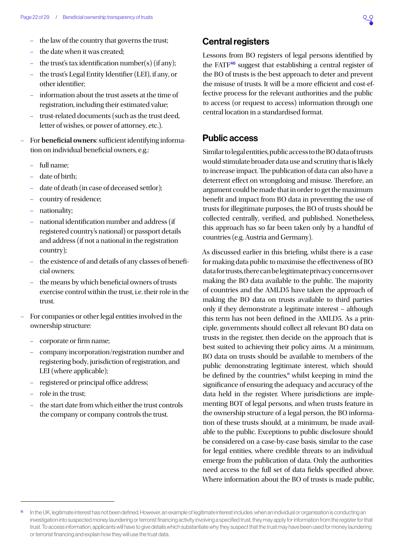- <span id="page-21-0"></span>– the law of the country that governs the trust;
- the date when it was created;
- the trust's tax identification number(s) (if any);
- the trust's Legal Entity Identifier (LEI), if any, or other identifier;
- information about the trust assets at the time of registration, including their estimated value;
- trust-related documents (such as the trust deed, letter of wishes, or power of attorney, etc.).
- For **beneficial owners**: sufficient identifying information on individual beneficial owners, e.g.:
	- full name;
	- date of birth;
	- date of death (in case of deceased settlor);
	- country of residence;
	- nationality;
	- national identification number and address (if registered country's national) or passport details and address (if not a national in the registration country);
	- the existence of and details of any classes of beneficial owners;
	- the means by which beneficial owners of trusts exercise control within the trust, i.e. their role in the trust.
- For companies or other legal entities involved in the ownership structure:
	- corporate or firm name;
	- company incorporation/registration number and registering body, jurisdiction of registration, and LEI (where applicable);
	- registered or principal office address;
	- role in the trust;
	- the start date from which either the trust controls the company or company controls the trust.

### Central registers

Lessons from BO registers of legal persons identified by the FATF[46](#page-27-0) suggest that establishing a central register of the BO of trusts is the best approach to deter and prevent the misuse of trusts. It will be a more efficient and cost-effective process for the relevant authorities and the public to access (or request to access) information through one central location in a standardised format.

### Public access

Similar to legal entities, public access to the BO data of trusts would stimulate broader data use and scrutiny that is likely to increase impact. The publication of data can also have a deterrent effect on wrongdoing and misuse. Therefore, an argument could be made that in order to get the maximum benefit and impact from BO data in preventing the use of trusts for illegitimate purposes, the BO of trusts should be collected centrally, verified, and published. Nonetheless, this approach has so far been taken only by a handful of countries (e.g. Austria and Germany).

As discussed earlier in this briefing, whilst there is a case for making data public to maximise the effectiveness of BO data for trusts, there can be legitimate privacy concerns over making the BO data available to the public. The majority of countries and the AMLD5 have taken the approach of making the BO data on trusts available to third parties only if they demonstrate a legitimate interest – although this term has not been defined in the AMLD5. As a principle, governments should collect all relevant BO data on trusts in the register, then decide on the approach that is best suited to achieving their policy aims. At a minimum, BO data on trusts should be available to members of the public demonstrating legitimate interest, which should be defined by the countries,<sup>n</sup> whilst keeping in mind the significance of ensuring the adequacy and accuracy of the data held in the register. Where jurisdictions are implementing BOT of legal persons, and when trusts feature in the ownership structure of a legal person, the BO information of these trusts should, at a minimum, be made available to the public. Exceptions to public disclosure should be considered on a case-by-case basis, similar to the case for legal entities, where credible threats to an individual emerge from the publication of data. Only the authorities need access to the full set of data fields specified above. Where information about the BO of trusts is made public,

n In the UK, legitimate interest has not been defined. However, an example of legitimate interest includes: when an individual or organisation is conducting an investigation into suspected money laundering or terrorist financing activity involving a specified trust, they may apply for information from the register for that trust. To access information, applicants will have to give details which substantiate why they suspect that the trust may have been used for money laundering or terrorist financing and explain how they will use the trust data.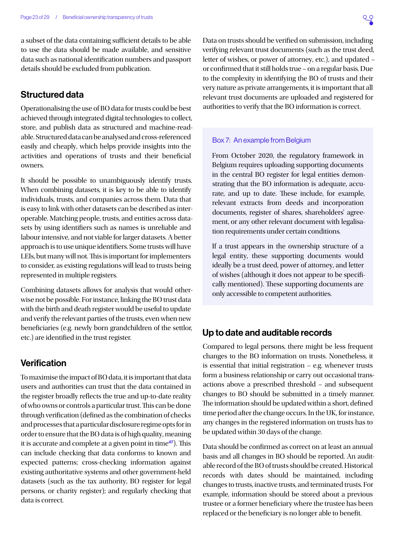<span id="page-22-0"></span>a subset of the data containing sufficient details to be able to use the data should be made available, and sensitive data such as national identification numbers and passport details should be excluded from publication.

## Structured data

Operationalising the use of BO data for trusts could be best achieved through integrated digital technologies to collect, store, and publish data as structured and machine-readable. Structured data can be analysed and cross-referenced easily and cheaply, which helps provide insights into the activities and operations of trusts and their beneficial owners.

It should be possible to unambiguously identify trusts. When combining datasets, it is key to be able to identify individuals, trusts, and companies across them. Data that is easy to link with other datasets can be described as interoperable. Matching people, trusts, and entities across datasets by using identifiers such as names is unreliable and labour intensive, and not viable for larger datasets. A better approach is to use unique identifiers. Some trusts will have LEIs, but many will not. This is important for implementers to consider, as existing regulations will lead to trusts being represented in multiple registers.

Combining datasets allows for analysis that would otherwise not be possible. For instance, linking the BO trust data with the birth and death register would be useful to update and verify the relevant parties of the trusts, even when new beneficiaries (e.g. newly born grandchildren of the settlor, etc.) are identified in the trust register.

### **Verification**

To maximise the impact of BO data, it is important that data users and authorities can trust that the data contained in the register broadly reflects the true and up-to-date reality of who owns or controls a particular trust. This can be done through verification (defined as the combination of checks and processes that a particular disclosure regime opts for in order to ensure that the BO data is of high quality, meaning it is accurate and complete at a given point in time<sup>[47](#page-27-0)</sup>). This can include checking that data conforms to known and expected patterns; cross-checking information against existing authoritative systems and other government-held datasets (such as the tax authority, BO register for legal persons, or charity register); and regularly checking that data is correct.

Data on trusts should be verified on submission, including verifying relevant trust documents (such as the trust deed, letter of wishes, or power of attorney, etc.), and updated – or confirmed that it still holds true – on a regular basis. Due to the complexity in identifying the BO of trusts and their very nature as private arrangements, it is important that all relevant trust documents are uploaded and registered for authorities to verify that the BO information is correct.

#### Box 7: An example from Belgium

From October 2020, the regulatory framework in Belgium requires uploading supporting documents in the central BO register for legal entities demonstrating that the BO information is adequate, accurate, and up to date. These include, for example, relevant extracts from deeds and incorporation documents, register of shares, shareholders' agreement, or any other relevant document with legalisation requirements under certain conditions.

If a trust appears in the ownership structure of a legal entity, these supporting documents would ideally be a trust deed, power of attorney, and letter of wishes (although it does not appear to be specifically mentioned). These supporting documents are only accessible to competent authorities.

### Up to date and auditable records

Compared to legal persons, there might be less frequent changes to the BO information on trusts. Nonetheless, it is essential that initial registration – e.g. whenever trusts form a business relationship or carry out occasional transactions above a prescribed threshold – and subsequent changes to BO should be submitted in a timely manner. The information should be updated within a short, defined time period after the change occurs. In the UK, for instance, any changes in the registered information on trusts has to be updated within 30 days of the change.

Data should be confirmed as correct on at least an annual basis and all changes in BO should be reported. An auditable record of the BO of trusts should be created. Historical records with dates should be maintained, including changes to trusts, inactive trusts, and terminated trusts. For example, information should be stored about a previous trustee or a former beneficiary where the trustee has been replaced or the beneficiary is no longer able to benefit.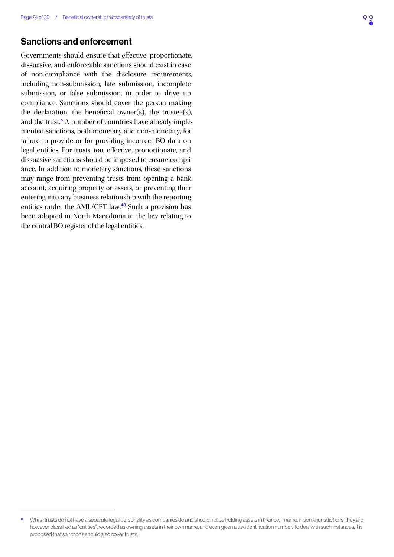## <span id="page-23-0"></span>Sanctions and enforcement

Governments should ensure that effective, proportionate, dissuasive, and enforceable sanctions should exist in case of non-compliance with the disclosure requirements, including non-submission, late submission, incomplete submission, or false submission, in order to drive up compliance. Sanctions should cover the person making the declaration, the beneficial owner(s), the trustee(s), and the trust.<sup>o</sup> A number of countries have already implemented sanctions, both monetary and non-monetary, for failure to provide or for providing incorrect BO data on legal entities. For trusts, too, effective, proportionate, and dissuasive sanctions should be imposed to ensure compliance. In addition to monetary sanctions, these sanctions may range from preventing trusts from opening a bank account, acquiring property or assets, or preventing their entering into any business relationship with the reporting entities under the AML/CFT law.[48](#page-27-0) Such a provision has been adopted in North Macedonia in the law relating to the central BO register of the legal entities.

<sup>&</sup>lt;sup>o</sup> Whilst trusts do not have a separate legal personality as companies do and should not be holding assets in their own name, in some jurisdictions, they are however classified as "entities", recorded as owning assets in their own name, and even given a tax identification number. To deal with such instances, it is proposed that sanctions should also cover trusts.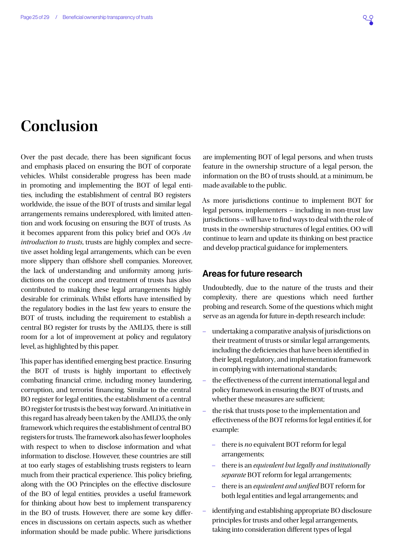# <span id="page-24-0"></span>**Conclusion**

Over the past decade, there has been significant focus and emphasis placed on ensuring the BOT of corporate vehicles. Whilst considerable progress has been made in promoting and implementing the BOT of legal entities, including the establishment of central BO registers worldwide, the issue of the BOT of trusts and similar legal arrangements remains underexplored, with limited attention and work focusing on ensuring the BOT of trusts. As it becomes apparent from this policy brief and OO's *An introduction to trusts*, trusts are highly complex and secretive asset holding legal arrangements, which can be even more slippery than offshore shell companies. Moreover, the lack of understanding and uniformity among jurisdictions on the concept and treatment of trusts has also contributed to making these legal arrangements highly desirable for criminals. Whilst efforts have intensified by the regulatory bodies in the last few years to ensure the BOT of trusts, including the requirement to establish a central BO register for trusts by the AMLD5, there is still room for a lot of improvement at policy and regulatory level, as highlighted by this paper.

This paper has identified emerging best practice. Ensuring the BOT of trusts is highly important to effectively combating financial crime, including money laundering, corruption, and terrorist financing. Similar to the central BO register for legal entities, the establishment of a central BO register for trusts is the best way forward. An initiative in this regard has already been taken by the AMLD5, the only framework which requires the establishment of central BO registers for trusts. The framework also has fewer loopholes with respect to when to disclose information and what information to disclose. However, these countries are still at too early stages of establishing trusts registers to learn much from their practical experience. This policy briefing, along with the OO Principles on the effective disclosure of the BO of legal entities, provides a useful framework for thinking about how best to implement transparency in the BO of trusts. However, there are some key differences in discussions on certain aspects, such as whether information should be made public. Where jurisdictions

are implementing BOT of legal persons, and when trusts feature in the ownership structure of a legal person, the information on the BO of trusts should, at a minimum, be made available to the public.

As more jurisdictions continue to implement BOT for legal persons, implementers – including in non-trust law jurisdictions – will have to find ways to deal with the role of trusts in the ownership structures of legal entities. OO will continue to learn and update its thinking on best practice and develop practical guidance for implementers.

#### Areas for future research

Undoubtedly, due to the nature of the trusts and their complexity, there are questions which need further probing and research. Some of the questions which might serve as an agenda for future in-depth research include:

- undertaking a comparative analysis of jurisdictions on their treatment of trusts or similar legal arrangements, including the deficiencies that have been identified in their legal, regulatory, and implementation framework in complying with international standards;
- the effectiveness of the current international legal and policy framework in ensuring the BOT of trusts, and whether these measures are sufficient;
- the risk that trusts pose to the implementation and effectiveness of the BOT reforms for legal entities if, for example:
	- there is *no* equivalent BOT reform for legal arrangements;
	- there is an *equivalent but legally and institutionally separate* BOT reform for legal arrangements;
	- there is an *equivalent and unified* BOT reform for both legal entities and legal arrangements; and
- identifying and establishing appropriate BO disclosure principles for trusts and other legal arrangements, taking into consideration different types of legal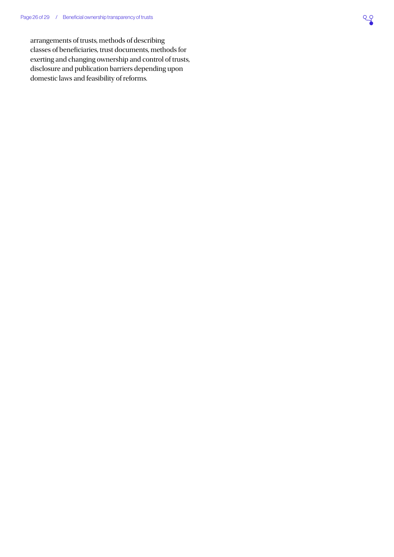#### <span id="page-25-0"></span>Page 26 of 29 / Beneficial ownership transparency of trusts

arrangements of trusts, methods of describing classes of beneficiaries, trust documents, methods for exerting and changing ownership and control of trusts, disclosure and publication barriers depending upon domestic laws and feasibility of reforms.

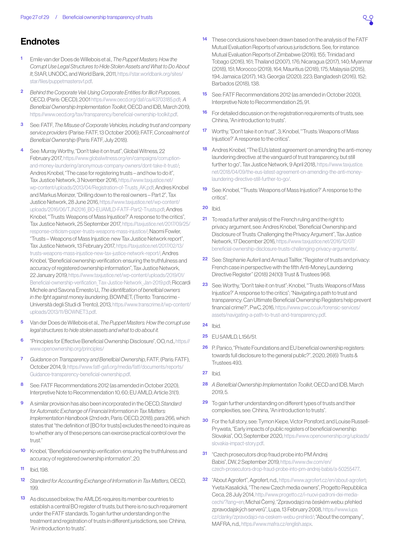# <span id="page-26-0"></span>**Endnotes**

- [1](#page-2-0) Emile van der Does de Willebois et al., *The Puppet Masters: How the Corrupt Use Legal Structures to Hide Stolen Assets and What to Do About It*, StAR, UNODC, and World Bank, 2011, [https://star.worldbank.org/sites/](https://star.worldbank.org/sites/star/files/puppetmastersv1.pdf) [star/files/puppetmastersv1.pdf](https://star.worldbank.org/sites/star/files/puppetmastersv1.pdf).
- [2](#page-2-0) *Behind the Corporate Veil: Using Corporate Entities for Illicit Purposes*, OECD, (Paris: OECD), 2001 <https://www.oecd.org/daf/ca/43703185.pdf>; *A Beneficial Ownership Implementation Toolkit*, OECD and IDB, March 2019, [https://www.oecd.org/tax/transparency/beneficial-ownership-toolkit.pdf.](https://www.oecd.org/tax/transparency/beneficial-ownership-toolkit.pdf)
- [3](#page-2-0) See: FATF, *The Misuse of Corporate Vehicles, including trust and company service providers* (Parise: FATF, 13 October 2006); FATF, *Concealment of Beneficial Ownership* (Paris: FATF, July 2018).
- [4](#page-2-0) See: Murray Worthy, "Don't take it on trust", Global Witness, 22 February 2017, [https://www.globalwitness.org/en/campaigns/corruption](https://www.globalwitness.org/en/campaigns/corruption-and-money-laundering/anonymous-company-owners/dont-take-it-trust/)[and-money-laundering/anonymous-company-owners/dont-take-it-trust/](https://www.globalwitness.org/en/campaigns/corruption-and-money-laundering/anonymous-company-owners/dont-take-it-trust/); Andres Knobel, "The case for registering trusts – and how to do it". Tax Justice Network, 3 November 2016, [https://www.taxjustice.net/](https://www.taxjustice.net/wp-content/uploads/2013/04/Registration-of-Trusts_AK.pdf) [wp-content/uploads/2013/04/Registration-of-Trusts\\_AK.pdf;](https://www.taxjustice.net/wp-content/uploads/2013/04/Registration-of-Trusts_AK.pdf) Andres Knobel and Markus Meinzer, "Drilling down to the real owners – Part 2", Tax Justice Network, 28 June 2016, [https://www.taxjustice.net/wp-content/](https://www.taxjustice.net/wp-content/uploads/2016/06/TJN2016_BO-EUAMLD-FATF-Part2-Trusts.pdf) [uploads/2016/06/TJN2016\\_BO-EUAMLD-FATF-Part2-Trusts.pdf](https://www.taxjustice.net/wp-content/uploads/2016/06/TJN2016_BO-EUAMLD-FATF-Part2-Trusts.pdf); Andres Knobel, "'Trusts: Weapons of Mass Injustice?' A response to the critics", Tax Justice Network, 25 September 2017, [https://taxjustice.net/2017/09/25/](https://taxjustice.net/2017/09/25/response-criticism-paper-trusts-weapons-mass-injustice/) [response-criticism-paper-trusts-weapons-mass-injustice/](https://taxjustice.net/2017/09/25/response-criticism-paper-trusts-weapons-mass-injustice/); Naomi Fowler, "Trusts – Weapons of Mass Injustice: new Tax Justice Network report", Tax Justice Network, 13 February 2017, [https://taxjustice.net/2017/02/13/](https://taxjustice.net/2017/02/13/trusts-weapons-mass-injustice-new-tax-justice-network-report/) [trusts-weapons-mass-injustice-new-tax-justice-network-report/](https://taxjustice.net/2017/02/13/trusts-weapons-mass-injustice-new-tax-justice-network-report/); Andres Knobel, "Beneficial ownership verification: ensuring the truthfulness and accuracy of registered ownership information", Tax Justice Network, 22 January 2019, [https://www.taxjustice.net/wp-content/uploads/2019/01/](https://www.taxjustice.net/wp-content/uploads/2019/01/Beneficial-ownership-verification_Tax-Justice-Network_Jan-2019.pdf) [Beneficial-ownership-verification\\_Tax-Justice-Network\\_Jan-2019.pdf](https://www.taxjustice.net/wp-content/uploads/2019/01/Beneficial-ownership-verification_Tax-Justice-Network_Jan-2019.pdf); Riccardi Michele and Savona Ernesto U., *The identification of beneficial owners in the fight against money laundering*, BOWNET, (Trento: Transcrime - Università degli Studi di Trento), 2013, [https://www.transcrime.it/wp-content/](https://www.transcrime.it/wp-content/uploads/2013/11/BOWNET3.pdf) [uploads/2013/11/BOWNET3.pdf.](https://www.transcrime.it/wp-content/uploads/2013/11/BOWNET3.pdf)
- [5](#page-2-0) Van der Does de Willebois et al., *The Puppet Masters: How the corrupt use legal structures to hide stolen assets and what to do about it.*
- [6](#page-2-0) "Principles for Effective Beneficial Ownership Disclosure", OO, n.d., [https://](https://www.openownership.org/principles/) [www.openownership.org/principles/](https://www.openownership.org/principles/)
- [7](#page-4-0) *Guidance on Transparency and Beneficial Ownership*, FATF, (Paris: FATF), October 2014, 9, [https://www.fatf-gafi.org/media/fatf/documents/reports/](https://www.fatf-gafi.org/media/fatf/documents/reports/Guidance-transparency-beneficial-ownership.pdf) [Guidance-transparency-beneficial-ownership.pdf.](https://www.fatf-gafi.org/media/fatf/documents/reports/Guidance-transparency-beneficial-ownership.pdf)
- See: FATF Recommendations 2012 (as amended in October 2020), Interpretive Note to Recommendation 10, 60; EU AMLD, Article 31(1).
- [9](#page-5-0) A similar provision has also been incorporated in the OECD, *Standard for Automatic Exchange of Financial Information in Tax Matters: Implementation Handbook* (2nd edn, Paris: OECD, 2018), para 266, which states that "the definition of [BO for trusts] excludes the need to inquire as to whether any of these persons can exercise practical control over the trust."
- [10](#page-5-0) Knobel, "Beneficial ownership verification: ensuring the truthfulness and accuracy of registered ownership information", 20.
- [11](#page-5-0) Ibid, 198.
- [12](#page-7-1) *Standard for Accounting Exchange of Information in Tax Matters*, OECD, 199.
- [13](#page-8-1) As discussed below, the AMLD5 requires its member countries to establish a central BO register of trusts, but there is no such requirement under the FATF standards. To gain further understanding on the treatment and registration of trusts in different jurisdictions, see: Chhina, "An introduction to trusts".
- [14](#page-8-1) These conclusions have been drawn based on the analysis of the FATF Mutual Evaluation Reports of various jurisdictions. See, for instance: Mutual Evaluation Reports of Zimbabwe (2016), 155; Trinidad and Tobago (2016), 161; Thailand (2007), 176; Nicaragua (2017), 140; Myanmar (2018), 151; Morocco (2019), 164; Mauritius (2018), 175; Malaysia (2015), 194; Jamaica (2017), 143; Georgia (2020), 223; Bangladesh (2016), 152; Barbados (2018), 138.
- [15](#page-8-1) See: FATF Recommendations 2012 (as amended in October 2020), Interpretive Note to Recommendation 25, 91.
- [16](#page-9-1) For detailed discussion on the registration requirements of trusts, see: Chhina, "An introduction to trusts".
- [17](#page-9-1) Worthy, "Don't take it on trust", 3; Knobel, "Trusts: Weapons of Mass Injustice?' A response to the critics".
- [18](#page-9-1) Andres Knobel, "The EU's latest agreement on amending the anti-money laundering directive: at the vanguard of trust transparency, but still further to go", Tax Justice Network, 9 April 2018, [https://www.taxjustice.](https://www.taxjustice.net/2018/04/09/the-eus-latest-agreement-on-amending-the-anti-money-laundering-directive-still-further-to-go/) [net/2018/04/09/the-eus-latest-agreement-on-amending-the-anti-money](https://www.taxjustice.net/2018/04/09/the-eus-latest-agreement-on-amending-the-anti-money-laundering-directive-still-further-to-go/)[laundering-directive-still-further-to-go/](https://www.taxjustice.net/2018/04/09/the-eus-latest-agreement-on-amending-the-anti-money-laundering-directive-still-further-to-go/).
- [19](#page-9-1) See: Knobel, "Trusts: Weapons of Mass Injustice?' A response to the critics".
- **[20](#page-9-1)** Ibid.
- [21](#page-9-1) To read a further analysis of the French ruling and the right to privacy argument, see: Andres Knobel, "Beneficial Ownership and Disclosure of Trusts: Challenging the Privacy Argument", Tax Justice Network, 17 December 2016, [https://www.taxjustice.net/2016/12/07/](https://www.taxjustice.net/2016/12/07/beneficial-ownership-disclosure-trusts-challenging-privacy-arguments/) [beneficial-ownership-disclosure-trusts-challenging-privacy-arguments/](https://www.taxjustice.net/2016/12/07/beneficial-ownership-disclosure-trusts-challenging-privacy-arguments/).
- [22](#page-9-1) See: Stephanie Auferil and Arnaud Tailfer, "Register of trusts and privacy: French case in perspective with the fifth Anti-Money Laundering Directive Register" (2018) 24(10) Trust & Trustees 968.
- [23](#page-10-0) See: Worthy, "Don't take it on trust"; Knobel, "Trusts: Weapons of Mass Injustice?' A response to the critics"; "Navigating a path to trust and transparency: Can Ultimate Beneficial Ownership Registers help prevent financial crime?", PwC, 2016, [https://www.pwc.co.uk/forensic-services/](https://www.pwc.co.uk/forensic-services/assets/navigating-a-path-to-trust-and-transparency.pdf) [assets/navigating-a-path-to-trust-and-transparency.pdf.](https://www.pwc.co.uk/forensic-services/assets/navigating-a-path-to-trust-and-transparency.pdf)
- [24](#page-10-0) Ibid.
- [25](#page-10-0) EU 5AMLD, L156/51.
- [26](#page-11-1) P. Panico, "Private Foundations and EU beneficial ownership registers: towards full disclosure to the general public?", 2020, 26(6) Trusts & Trustees 493.
- **[27](#page-11-1)** Ibid.
- [28](#page-12-0) *A Beneficial Ownership Implementation Toolkit*, OECD and IDB, March 2019, 5.
- [29](#page-12-0) To gain further understanding on different types of trusts and their complexities, see: Chhina, "An introduction to trusts".
- [30](#page-14-0) For the full story, see: Tymon Kiepe, Victor Ponsford, and Louise Russell-Prywata, "Early impacts of public registers of beneficial ownership: Slovakia", OO, September 2020, [https://www.openownership.org/uploads/](https://www.openownership.org/uploads/slovakia-impact-story.pdf) [slovakia-impact-story.pdf](https://www.openownership.org/uploads/slovakia-impact-story.pdf).
- [31](#page-14-0) "Czech prosecutors drop fraud probe into PM Andrej Babis", DW, 2 September 2019, [https://www.dw.com/en/](https://www.dw.com/en/czech-prosecutors-drop-fraud-probe-into-pm-andrej-babis/a-50255477) [czech-prosecutors-drop-fraud-probe-into-pm-andrej-babis/a-50255477.](https://www.dw.com/en/czech-prosecutors-drop-fraud-probe-into-pm-andrej-babis/a-50255477)
- [32](#page-14-0) "About Agrofert", Agrofert, n.d., [https://www.agrofert.cz/en/about-agrofert;](https://www.agrofert.cz/en/about-agrofert) Yveta Kasalická, "The new Czech media owners", Progetto Repubblica Ceca, 28 July 2014, [http://www.progetto.cz/i-nuovi-padroni-dei-media](http://www.progetto.cz/i-nuovi-padroni-dei-media-cechi/?lang=en)[cechi/?lang=en](http://www.progetto.cz/i-nuovi-padroni-dei-media-cechi/?lang=en); Michal Černý, "Zpravodajci na českém webu: přehled zpravodajských serverů", Lupa, 13 February 2008, [https://www.lupa.](https://www.lupa.cz/clanky/zpravodajci-na-ceskem-webu-prehled/) [cz/clanky/zpravodajci-na-ceskem-webu-prehled/](https://www.lupa.cz/clanky/zpravodajci-na-ceskem-webu-prehled/); "About the company", MAFRA, n.d., <https://www.mafra.cz/english.aspx>.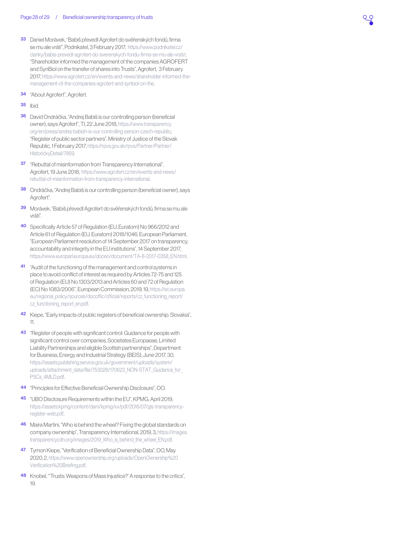- <span id="page-27-0"></span>[33](#page-14-0) Daniel Morávek, "Babiš převedl Agrofert do svěřenských fondů, firma se mu ale vrátí", Podnikatel, 3 February 2017, [https://www.podnikatel.cz/](https://www.podnikatel.cz/clanky/babis-prevedl-agrofert-do-sverenskych-fondu-firma-se-mu-ale-vrati/) [clanky/babis-prevedl-agrofert-do-sverenskych-fondu-firma-se-mu-ale-vrati/](https://www.podnikatel.cz/clanky/babis-prevedl-agrofert-do-sverenskych-fondu-firma-se-mu-ale-vrati/); "Shareholder informed the management of the companies AGROFERT and SynBiol on the transfer of shares into Trusts", Agrofert, 3 February 2017, [https://www.agrofert.cz/en/events-and-news/shareholder-informed-the](https://www.agrofert.cz/en/events-and-news/shareholder-informed-the-management-of-the-companies-agrofert-and-synbiol-on-the)[management-of-the-companies-agrofert-and-synbiol-on-the.](https://www.agrofert.cz/en/events-and-news/shareholder-informed-the-management-of-the-companies-agrofert-and-synbiol-on-the)
- [34](#page-14-0) "About Agrofert", Agrofert.
- [35](#page-14-0) Ibid.
- [36](#page-14-0) David Ondráčka, "Andrej Babiš is our controlling person (beneficial owner), says Agrofert", TI, 22 June 2018, [https://www.transparency.](https://www.transparency.org/en/press/andrej-babish-is-our-controlling-person-czech-republic) [org/en/press/andrej-babish-is-our-controlling-person-czech-republic](https://www.transparency.org/en/press/andrej-babish-is-our-controlling-person-czech-republic); "Register of public sector partners", Ministry of Justice of the Slovak Republic, 1 February 2017, [https://rpvs.gov.sk/rpvs/Partner/Partner/](https://rpvs.gov.sk/rpvs/Partner/Partner/HistorickyDetail/7859) [HistorickyDetail/7859](https://rpvs.gov.sk/rpvs/Partner/Partner/HistorickyDetail/7859).
- [37](#page-14-0) "Rebuttal of misinformation from Transparency International", Agrofert, 19 June 2018, [https://www.agrofert.cz/en/events-and-news/](https://www.agrofert.cz/en/events-and-news/rebuttal-of-misinformation-from-transparency-international) [rebuttal-of-misinformation-from-transparency-international.](https://www.agrofert.cz/en/events-and-news/rebuttal-of-misinformation-from-transparency-international)
- [38](#page-14-0) Ondráčka, "Andrej Babiš is our controlling person (beneficial owner), says Agrofert".
- [39](#page-14-0) Morávek, "Babiš převedl Agrofert do svěřenských fondů, firma se mu ale vrátí".
- [40](#page-14-0) Specifically Article 57 of Regulation (EU, Euratom) No 966/2012 and Article 61 of Regulation (EU, Euratom) 2018/1046; European Parliament, "European Parliament resolution of 14 September 2017 on transparency, accountability and integrity in the EU institutions", 14 September 2017, [https://www.europarl.europa.eu/doceo/document/TA-8-2017-0358\\_EN.html.](https://www.europarl.europa.eu/doceo/document/TA-8-2017-0358_EN.html)
- [41](#page-14-0) "Audit of the functioning of the management and control systems in place to avoid conflict of interest as required by Articles 72-75 and 125 of Regulation (EU) No 1303/2013 and Articles 60 and 72 of Regulation (EC) No 1083/2006", European Commission, 2019, 19, [https://ec.europa.](https://ec.europa.eu/regional_policy/sources/docoffic/official/reports/cz_functioning_report/cz_functioning_report_en.pdf) [eu/regional\\_policy/sources/docoffic/official/reports/cz\\_functioning\\_report/](https://ec.europa.eu/regional_policy/sources/docoffic/official/reports/cz_functioning_report/cz_functioning_report_en.pdf) [cz\\_functioning\\_report\\_en.pdf](https://ec.europa.eu/regional_policy/sources/docoffic/official/reports/cz_functioning_report/cz_functioning_report_en.pdf).
- [42](#page-15-0) Kiepe, "Early impacts of public registers of beneficial ownership: Slovakia", 11.
- [43](#page-17-1) "Register of people with significant control: Guidance for people with significant control over companies, Societates Europaeae, Limited Liability Partnerships and eligible Scottish partnerships", Department for Business, Energy and Industrial Strategy (BEIS), June 2017, 30, [https://assets.publishing.service.gov.uk/government/uploads/system/](https://assets.publishing.service.gov.uk/government/uploads/system/uploads/attachment_data/file/753028/170623_NON-STAT_Guidance_for_PSCs_4MLD.pdf) [uploads/attachment\\_data/file/753028/170623\\_NON-STAT\\_Guidance\\_for\\_](https://assets.publishing.service.gov.uk/government/uploads/system/uploads/attachment_data/file/753028/170623_NON-STAT_Guidance_for_PSCs_4MLD.pdf) [PSCs\\_4MLD.pdf.](https://assets.publishing.service.gov.uk/government/uploads/system/uploads/attachment_data/file/753028/170623_NON-STAT_Guidance_for_PSCs_4MLD.pdf)
- [44](#page-19-0) "Principles for Effective Beneficial Ownership Disclosure", OO.
- [45](#page-19-0) "UBO Disclosure Requirements within the EU", KPMG, April 2019, [https://assets.kpmg/content/dam/kpmg/xx/pdf/2018/07/gls-transparency](https://assets.kpmg/content/dam/kpmg/xx/pdf/2018/07/gls-transparency-register-web.pdf)[register-web.pdf](https://assets.kpmg/content/dam/kpmg/xx/pdf/2018/07/gls-transparency-register-web.pdf).
- [46](#page-21-0) Maíra Martini, "Who is behind the wheel? Fixing the global standards on company ownership", Transparency International, 2019, 3, [https://images.](https://images.transparencycdn.org/images/2019_Who_is_behind_the_wheel_EN.pdf) transparencycdn.org/images/2019 Who is behind the wheel EN.pdf.
- [47](#page-22-0) Tymon Kiepe, "Verification of Beneficial Ownership Data", OO, May 2020, 2, [https://www.openownership.org/uploads/OpenOwnership%20](https://www.openownership.org/uploads/OpenOwnership%20Verification%20Briefing.pdf) [Verification%20Briefing.pdf](https://www.openownership.org/uploads/OpenOwnership%20Verification%20Briefing.pdf).
- [48](#page-23-0) Knobel, "Trusts: Weapons of Mass Injustice?' A response to the critics", 19.